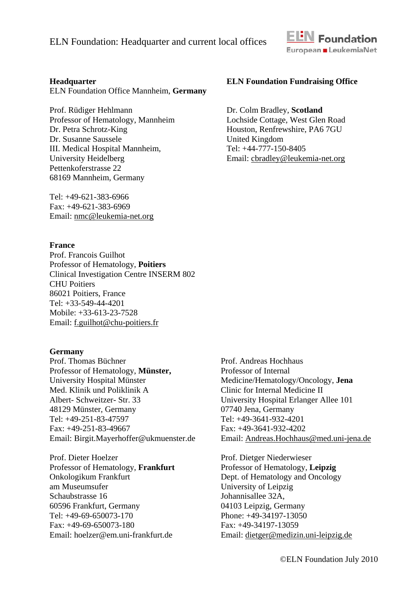

### **Headquarter**

ELN Foundation Office Mannheim, **Germany** 

Prof. Rüdiger Hehlmann Professor of Hematology, Mannheim Dr. Petra Schrotz-King Dr. Susanne Saussele III. Medical Hospital Mannheim, University Heidelberg Pettenkoferstrasse 22 68169 Mannheim, Germany

Tel: +49-621-383-6966 Fax: +49-621-383-6969 Email: nmc@leukemia-net.org

### **France**

Prof. Francois Guilhot Professor of Hematology, **Poitiers**  Clinical Investigation Centre INSERM 802 CHU Poitiers 86021 Poitiers, France Tel: +33-549-44-4201 Mobile: +33-613-23-7528 Email: f.guilhot@chu-poitiers.fr

#### **Germany**

Prof. Thomas Büchner Professor of Hematology, **Münster,**  University Hospital Münster Med. Klinik und Poliklinik A Albert- Schweitzer- Str. 33 48129 Münster, Germany Tel: +49-251-83-47597 Fax: +49-251-83-49667 Email: Birgit.Mayerhoffer@ukmuenster.de

Prof. Dieter Hoelzer Professor of Hematology, **Frankfurt**  Onkologikum Frankfurt am Museumsufer Schaubstrasse 16 60596 Frankfurt, Germany Tel: +49-69-650073-170 Fax: +49-69-650073-180 Email: hoelzer@em.uni-frankfurt.de

### **ELN Foundation Fundraising Office**

Dr. Colm Bradley, **Scotland**  Lochside Cottage, West Glen Road Houston, Renfrewshire, PA6 7GU United Kingdom Tel: +44-777-150-8405 Email: cbradley@leukemia-net.org

Prof. Andreas Hochhaus Professor of Internal Medicine/Hematology/Oncology, **Jena**  Clinic for Internal Medicine II University Hospital Erlanger Allee 101 07740 Jena, Germany Tel: +49-3641-932-4201 Fax: +49-3641-932-4202 Email: Andreas.Hochhaus@med.uni-jena.de

Prof. Dietger Niederwieser Professor of Hematology, **Leipzig** Dept. of Hematology and Oncology University of Leipzig Johannisallee 32A, 04103 Leipzig, Germany Phone: +49-34197-13050 Fax: +49-34197-13059 Email: dietger@medizin.uni-leipzig.de